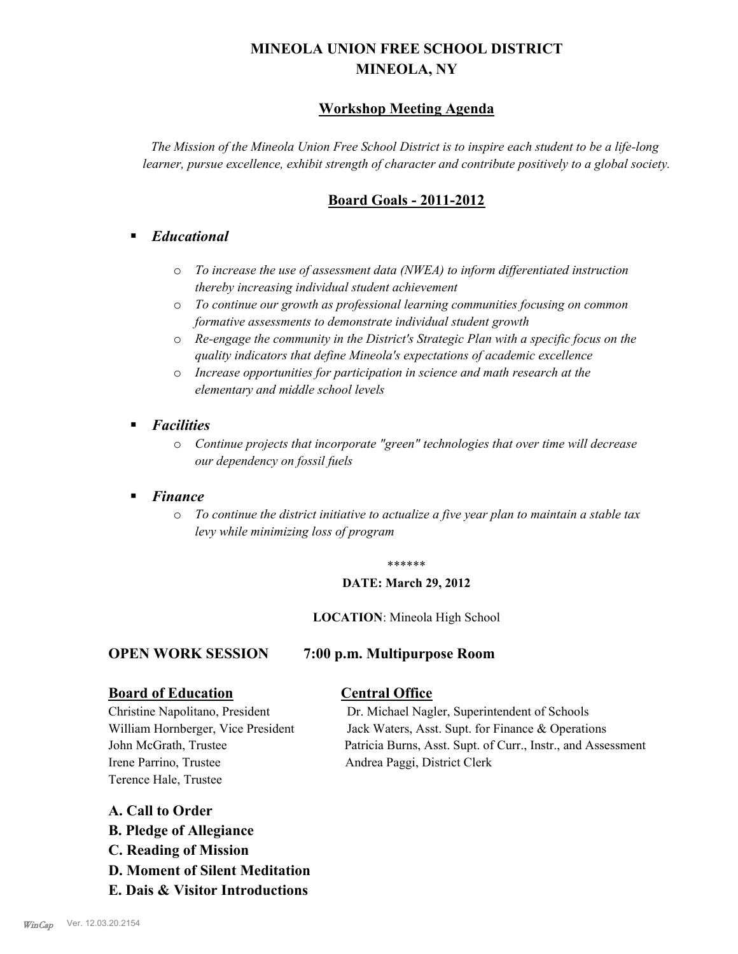# **MINEOLA UNION FREE SCHOOL DISTRICT MINEOLA, NY**

# **Workshop Meeting Agenda**

*The Mission of the Mineola Union Free School District is to inspire each student to be a life-long learner, pursue excellence, exhibit strength of character and contribute positively to a global society.*

# **Board Goals - 2011-2012**

# § *Educational*

- o *To increase the use of assessment data (NWEA) to inform differentiated instruction thereby increasing individual student achievement*
- o *To continue our growth as professional learning communities focusing on common formative assessments to demonstrate individual student growth*
- o *Re-engage the community in the District's Strategic Plan with a specific focus on the quality indicators that define Mineola's expectations of academic excellence*
- o *Increase opportunities for participation in science and math research at the elementary and middle school levels*
- *Facilities* 
	- o *Continue projects that incorporate "green" technologies that over time will decrease our dependency on fossil fuels*

# § *Finance*

o *To continue the district initiative to actualize a five year plan to maintain a stable tax levy while minimizing loss of program*

#### \*\*\*\*\*\*

#### **DATE: March 29, 2012**

#### **LOCATION**: Mineola High School

# **OPEN WORK SESSION 7:00 p.m. Multipurpose Room**

# **Board of Education Central Office**

Christine Napolitano, President Dr. Michael Nagler, Superintendent of Schools William Hornberger, Vice President Jack Waters, Asst. Supt. for Finance & Operations John McGrath, Trustee Patricia Burns, Asst. Supt. of Curr., Instr., and Assessment

Irene Parrino, Trustee Andrea Paggi, District Clerk Terence Hale, Trustee

# **A. Call to Order**

- **B. Pledge of Allegiance**
- **C. Reading of Mission**
- **D. Moment of Silent Meditation**
- **E. Dais & Visitor Introductions**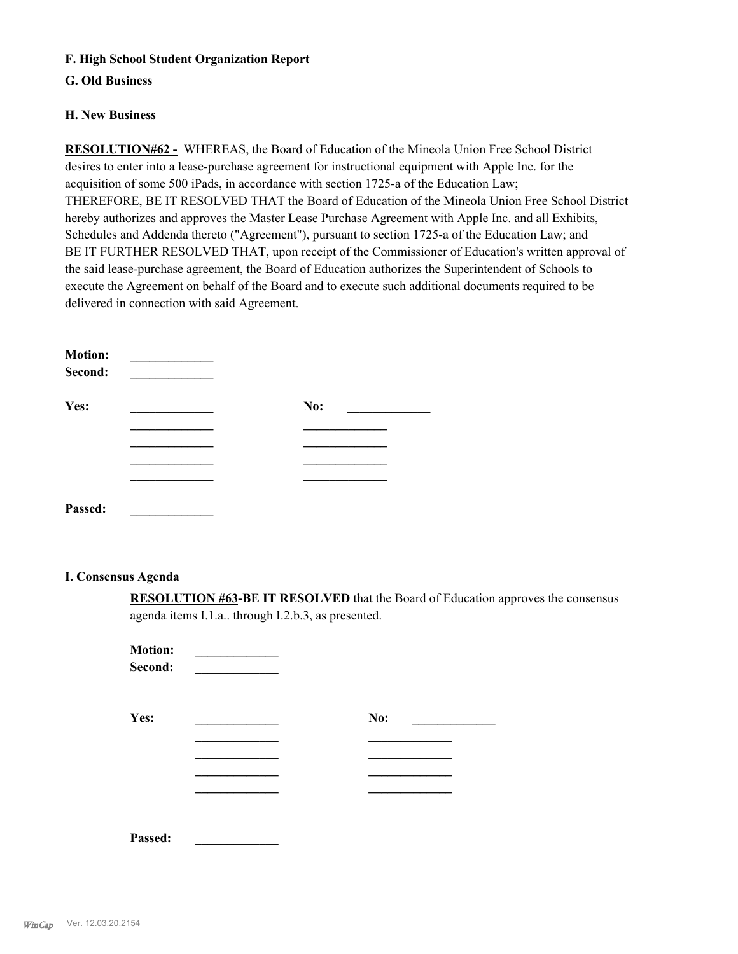# **F. High School Student Organization Report**

# **G. Old Business**

### **H. New Business**

**RESOLUTION#62 -** WHEREAS, the Board of Education of the Mineola Union Free School District desires to enter into a lease-purchase agreement for instructional equipment with Apple Inc. for the acquisition of some 500 iPads, in accordance with section 1725-a of the Education Law; THEREFORE, BE IT RESOLVED THAT the Board of Education of the Mineola Union Free School District hereby authorizes and approves the Master Lease Purchase Agreement with Apple Inc. and all Exhibits, Schedules and Addenda thereto ("Agreement"), pursuant to section 1725-a of the Education Law; and BE IT FURTHER RESOLVED THAT, upon receipt of the Commissioner of Education's written approval of the said lease-purchase agreement, the Board of Education authorizes the Superintendent of Schools to execute the Agreement on behalf of the Board and to execute such additional documents required to be delivered in connection with said Agreement.

| <b>Motion:</b><br>Second: |     |
|---------------------------|-----|
| Yes:                      | No: |
|                           |     |
|                           |     |
|                           |     |
|                           |     |
| Passed:                   |     |

### **I. Consensus Agenda**

**RESOLUTION #63-BE IT RESOLVED** that the Board of Education approves the consensus agenda items I.1.a.. through I.2.b.3, as presented.

| <b>Motion:</b><br>Second: |     |
|---------------------------|-----|
| Yes:                      | No: |
|                           |     |
|                           |     |
| Passed:                   |     |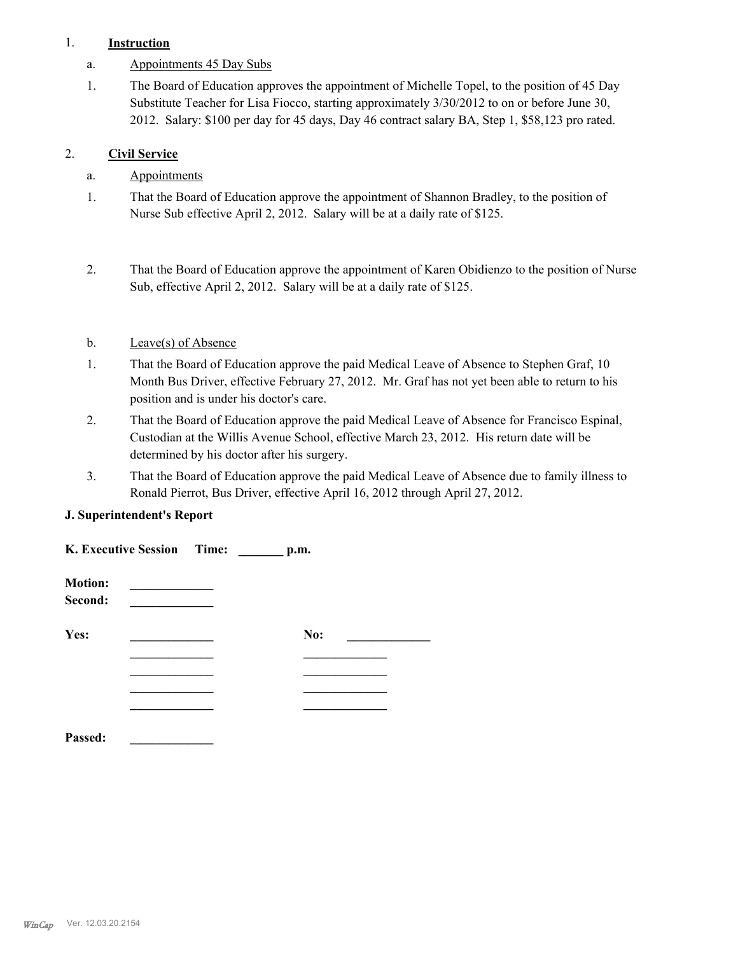# 1. **Instruction**

- a. Appointments 45 Day Subs
- The Board of Education approves the appointment of Michelle Topel, to the position of 45 Day Substitute Teacher for Lisa Fiocco, starting approximately 3/30/2012 to on or before June 30, 2012. Salary: \$100 per day for 45 days, Day 46 contract salary BA, Step 1, \$58,123 pro rated. 1.

# 2. **Civil Service**

# a. Appointments

- That the Board of Education approve the appointment of Shannon Bradley, to the position of Nurse Sub effective April 2, 2012. Salary will be at a daily rate of \$125. 1.
- That the Board of Education approve the appointment of Karen Obidienzo to the position of Nurse Sub, effective April 2, 2012. Salary will be at a daily rate of \$125. 2.

# b. Leave(s) of Absence

- That the Board of Education approve the paid Medical Leave of Absence to Stephen Graf, 10 Month Bus Driver, effective February 27, 2012. Mr. Graf has not yet been able to return to his position and is under his doctor's care. 1.
- That the Board of Education approve the paid Medical Leave of Absence for Francisco Espinal, Custodian at the Willis Avenue School, effective March 23, 2012. His return date will be determined by his doctor after his surgery. 2.
- That the Board of Education approve the paid Medical Leave of Absence due to family illness to Ronald Pierrot, Bus Driver, effective April 16, 2012 through April 27, 2012. 3.

# **J. Superintendent's Report**

| K. Executive Session Time:<br>p.m. |  |  |     |  |
|------------------------------------|--|--|-----|--|
| <b>Motion:</b><br>Second:          |  |  |     |  |
| Yes:                               |  |  | No: |  |
|                                    |  |  |     |  |
| Passed:                            |  |  |     |  |